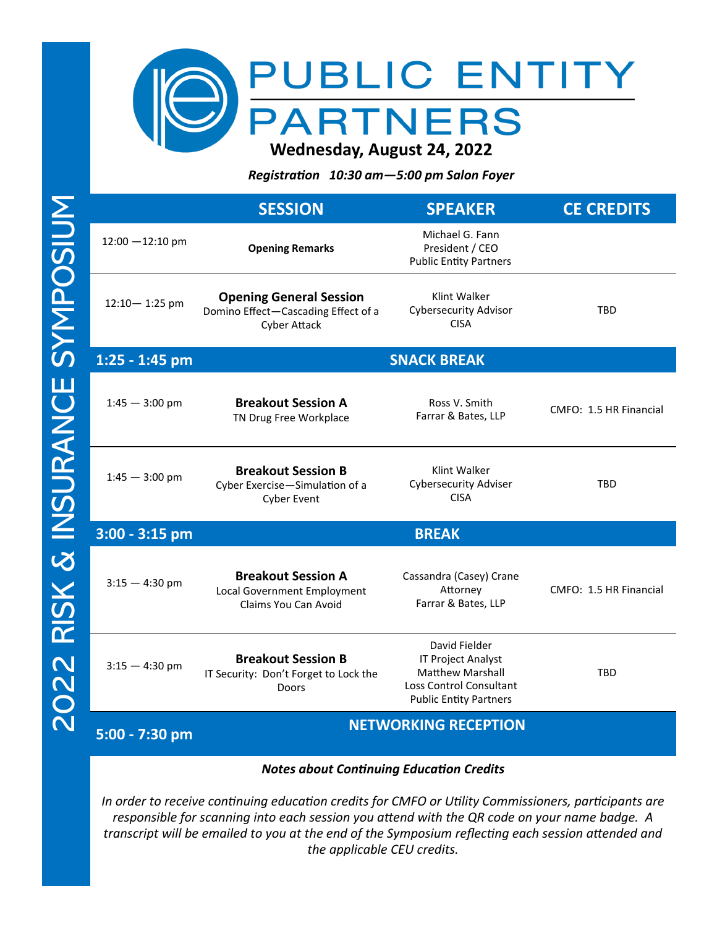

*Registration 10:30 am—5:00 pm Salon Foyer* 

|                    | <b>SESSION</b>                                                                               | <b>SPEAKER</b>                                                                                                                    | <b>CE CREDITS</b>      |
|--------------------|----------------------------------------------------------------------------------------------|-----------------------------------------------------------------------------------------------------------------------------------|------------------------|
| $12:00 - 12:10$ pm | <b>Opening Remarks</b>                                                                       | Michael G. Fann<br>President / CEO<br><b>Public Entity Partners</b>                                                               |                        |
| 12:10-1:25 pm      | <b>Opening General Session</b><br>Domino Effect-Cascading Effect of a<br><b>Cyber Attack</b> | Klint Walker<br><b>Cybersecurity Advisor</b><br><b>CISA</b>                                                                       | <b>TBD</b>             |
| 1:25 - 1:45 pm     | <b>SNACK BREAK</b>                                                                           |                                                                                                                                   |                        |
| $1:45 - 3:00$ pm   | <b>Breakout Session A</b><br>TN Drug Free Workplace                                          | Ross V. Smith<br>Farrar & Bates, LLP                                                                                              | CMFO: 1.5 HR Financial |
| $1:45 - 3:00$ pm   | <b>Breakout Session B</b><br>Cyber Exercise-Simulation of a<br><b>Cyber Event</b>            | Klint Walker<br><b>Cybersecurity Adviser</b><br><b>CISA</b>                                                                       | <b>TBD</b>             |
| 3:00 - 3:15 pm     |                                                                                              | <b>BREAK</b>                                                                                                                      |                        |
| $3:15 - 4:30$ pm   | <b>Breakout Session A</b><br>Local Government Employment<br>Claims You Can Avoid             | Cassandra (Casey) Crane<br>Attorney<br>Farrar & Bates, LLP                                                                        | CMFO: 1.5 HR Financial |
| $3:15 - 4:30$ pm   | <b>Breakout Session B</b><br>IT Security: Don't Forget to Lock the<br>Doors                  | David Fielder<br>IT Project Analyst<br><b>Matthew Marshall</b><br><b>Loss Control Consultant</b><br><b>Public Entity Partners</b> | <b>TBD</b>             |
| 5:00 - 7:30 pm     | <b>NETWORKING RECEPTION</b>                                                                  |                                                                                                                                   |                        |
|                    |                                                                                              |                                                                                                                                   |                        |

*Notes about Continuing Education Credits*

*In order to receive continuing education credits for CMFO or Utility Commissioners, participants are responsible for scanning into each session you attend with the QR code on your name badge. A transcript will be emailed to you at the end of the Symposium reflecting each session attended and the applicable CEU credits.*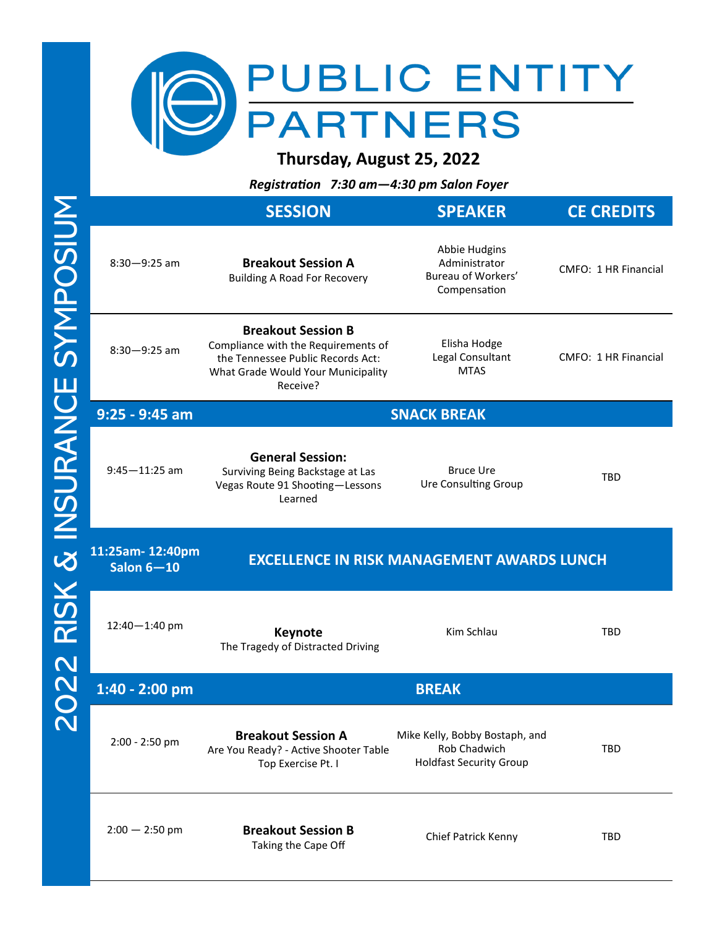

**Thursday, August 25, 2022**

*Registration 7:30 am—4:30 pm Salon Foyer* 

|                                 | <b>SESSION</b>                                                                                                                                          | <b>SPEAKER</b>                                                                   | <b>CE CREDITS</b>    |
|---------------------------------|---------------------------------------------------------------------------------------------------------------------------------------------------------|----------------------------------------------------------------------------------|----------------------|
| $8:30 - 9:25$ am                | <b>Breakout Session A</b><br><b>Building A Road For Recovery</b>                                                                                        | Abbie Hudgins<br>Administrator<br>Bureau of Workers'<br>Compensation             | CMFO: 1 HR Financial |
| $8:30 - 9:25$ am                | <b>Breakout Session B</b><br>Compliance with the Requirements of<br>the Tennessee Public Records Act:<br>What Grade Would Your Municipality<br>Receive? | Elisha Hodge<br>Legal Consultant<br><b>MTAS</b>                                  | CMFO: 1 HR Financial |
| $9:25 - 9:45$ am                |                                                                                                                                                         | <b>SNACK BREAK</b>                                                               |                      |
| $9:45 - 11:25$ am               | <b>General Session:</b><br>Surviving Being Backstage at Las<br>Vegas Route 91 Shooting-Lessons<br>Learned                                               | <b>Bruce Ure</b><br><b>Ure Consulting Group</b>                                  | <b>TBD</b>           |
| 11:25am-12:40pm<br>Salon $6-10$ |                                                                                                                                                         | <b>EXCELLENCE IN RISK MANAGEMENT AWARDS LUNCH</b>                                |                      |
| 12:40-1:40 pm                   | <b>Keynote</b><br>The Tragedy of Distracted Driving                                                                                                     | Kim Schlau                                                                       | TBD                  |
| 1:40 - 2:00 pm                  |                                                                                                                                                         | <b>BREAK</b>                                                                     |                      |
| 2:00 - 2:50 pm                  | <b>Breakout Session A</b><br>Are You Ready? - Active Shooter Table<br>Top Exercise Pt. I                                                                | Mike Kelly, Bobby Bostaph, and<br>Rob Chadwich<br><b>Holdfast Security Group</b> | TBD                  |
| $2:00 - 2:50$ pm                | <b>Breakout Session B</b><br>Taking the Cape Off                                                                                                        | Chief Patrick Kenny                                                              | TBD                  |